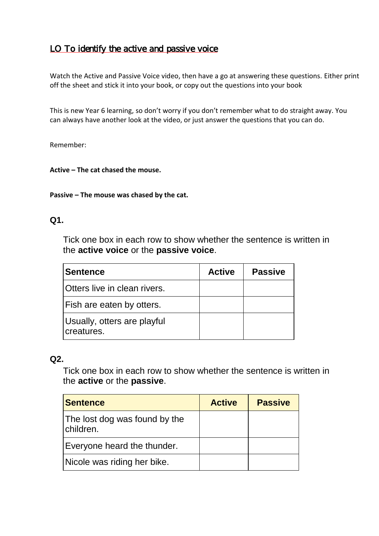# LO To identify the active and passive voice

Watch the Active and Passive Voice video, then have a go at answering these questions. Either print off the sheet and stick it into your book, or copy out the questions into your book

This is new Year 6 learning, so don't worry if you don't remember what to do straight away. You can always have another look at the video, or just answer the questions that you can do.

Remember:

#### **Active – The cat chased the mouse.**

#### **Passive – The mouse was chased by the cat.**

#### **Q1.**

Tick one box in each row to show whether the sentence is written in the **active voice** or the **passive voice**.

| <b>Sentence</b>                           | <b>Active</b> | <b>Passive</b> |
|-------------------------------------------|---------------|----------------|
| Otters live in clean rivers.              |               |                |
| Fish are eaten by otters.                 |               |                |
| Usually, otters are playful<br>creatures. |               |                |

#### **Q2.**

Tick one box in each row to show whether the sentence is written in the **active** or the **passive**.

| Sentence                                   | <b>Active</b> | <b>Passive</b> |
|--------------------------------------------|---------------|----------------|
| The lost dog was found by the<br>children. |               |                |
| Everyone heard the thunder.                |               |                |
| Nicole was riding her bike.                |               |                |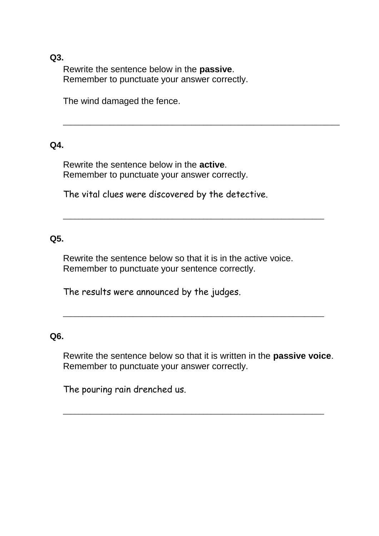**Q3.**

Rewrite the sentence below in the **passive**. Remember to punctuate your answer correctly.

The wind damaged the fence.

## **Q4.**

Rewrite the sentence below in the **active**. Remember to punctuate your answer correctly.

The vital clues were discovered by the detective.

\_\_\_\_\_\_\_\_\_\_\_\_\_\_\_\_\_\_\_\_\_\_\_\_\_\_\_\_\_\_\_\_\_\_\_\_\_\_\_\_\_\_\_\_\_\_\_\_\_\_\_\_\_\_\_\_\_\_\_\_\_\_\_\_\_\_\_\_\_\_\_

## **Q5.**

Rewrite the sentence below so that it is in the active voice. Remember to punctuate your sentence correctly.

\_\_\_\_\_\_\_\_\_\_\_\_\_\_\_\_\_\_\_\_\_\_\_\_\_\_\_\_\_\_\_\_\_\_\_\_\_\_\_\_\_\_\_\_\_\_\_\_\_\_\_\_\_\_\_\_\_\_\_\_\_\_\_\_\_\_\_

The results were announced by the judges.

### **Q6.**

Rewrite the sentence below so that it is written in the **passive voice**. Remember to punctuate your answer correctly.

\_\_\_\_\_\_\_\_\_\_\_\_\_\_\_\_\_\_\_\_\_\_\_\_\_\_\_\_\_\_\_\_\_\_\_\_\_\_\_\_\_\_\_\_\_\_\_\_\_\_\_\_\_\_\_\_\_\_\_\_\_\_\_\_\_\_\_

\_\_\_\_\_\_\_\_\_\_\_\_\_\_\_\_\_\_\_\_\_\_\_\_\_\_\_\_\_\_\_\_\_\_\_\_\_\_\_\_\_\_\_\_\_\_\_\_\_\_\_\_\_\_\_\_\_\_\_\_\_\_\_\_\_\_\_

The pouring rain drenched us.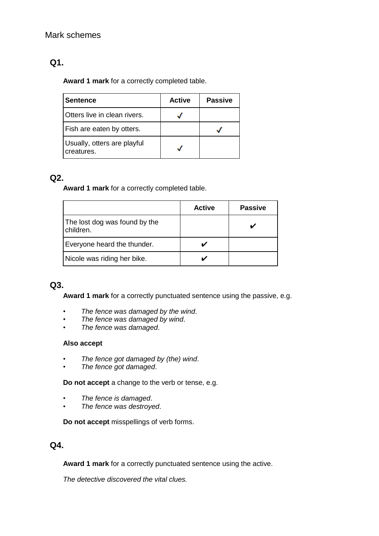### Mark schemes

## **Q1.**

**Award 1 mark** for a correctly completed table.

| <b>Sentence</b>                           | <b>Active</b> | <b>Passive</b> |
|-------------------------------------------|---------------|----------------|
| Otters live in clean rivers.              |               |                |
| Fish are eaten by otters.                 |               |                |
| Usually, otters are playful<br>creatures. |               |                |

## **Q2.**

**Award 1 mark** for a correctly completed table.

|                                            | <b>Active</b> | <b>Passive</b> |
|--------------------------------------------|---------------|----------------|
| The lost dog was found by the<br>children. |               |                |
| Everyone heard the thunder.                |               |                |
| Nicole was riding her bike.                |               |                |

### **Q3.**

**Award 1 mark** for a correctly punctuated sentence using the passive, e.g.

- *The fence was damaged by the wind*.
- *The fence was damaged by wind*.
- *The fence was damaged*.

#### **Also accept**

- *The fence got damaged by (the) wind*.
- *The fence got damaged*.

**Do not accept** a change to the verb or tense, e.g.

- *The fence is damaged*.
- *The fence was destroyed*.

**Do not accept** misspellings of verb forms.

### **Q4.**

**Award 1 mark** for a correctly punctuated sentence using the active.

*The detective discovered the vital clues.*